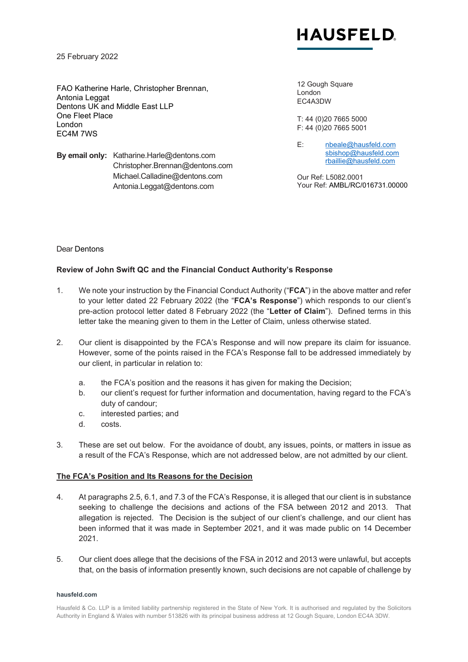

25 February 2022

FAO Katherine Harle, Christopher Brennan, Antonia Leggat Dentons UK and Middle East LLP One Fleet Place London EC4M 7WS

**By email only:** Katharine.Harle@dentons.com Christopher.Brennan@dentons.com Michael.Calladine@dentons.com Antonia.Leggat@dentons.com

12 Gough Square London EC4A3DW

T: 44 (0)20 7665 5000 F: 44 (0)20 7665 5001

E: [nbeale@hausfeld.com](mailto:nbeale@hausfeld.com) [sbishop@hausfeld.com](mailto:sbishop@hausfeld.com) [rbaillie@hausfeld.com](mailto:rbaillie@hausfeld.com)

Our Ref: L5082.0001 Your Ref: AMBL/RC/016731.00000

#### Dear Dentons

#### **Review of John Swift QC and the Financial Conduct Authority's Response**

- 1. We note your instruction by the Financial Conduct Authority ("**FCA**") in the above matter and refer to your letter dated 22 February 2022 (the "**FCA's Response**") which responds to our client's pre-action protocol letter dated 8 February 2022 (the "**Letter of Claim**"). Defined terms in this letter take the meaning given to them in the Letter of Claim, unless otherwise stated.
- 2. Our client is disappointed by the FCA's Response and will now prepare its claim for issuance. However, some of the points raised in the FCA's Response fall to be addressed immediately by our client, in particular in relation to:
	- a. the FCA's position and the reasons it has given for making the Decision;
	- b. our client's request for further information and documentation, having regard to the FCA's duty of candour;
	- c. interested parties; and
	- d. costs.
- 3. These are set out below. For the avoidance of doubt, any issues, points, or matters in issue as a result of the FCA's Response, which are not addressed below, are not admitted by our client.

#### **The FCA's Position and Its Reasons for the Decision**

- 4. At paragraphs 2.5, 6.1, and 7.3 of the FCA's Response, it is alleged that our client is in substance seeking to challenge the decisions and actions of the FSA between 2012 and 2013. That allegation is rejected. The Decision is the subject of our client's challenge, and our client has been informed that it was made in September 2021, and it was made public on 14 December 2021.
- 5. Our client does allege that the decisions of the FSA in 2012 and 2013 were unlawful, but accepts that, on the basis of information presently known, such decisions are not capable of challenge by

#### **hausfeld.com**

Hausfeld & Co. LLP is a limited liability partnership registered in the State of New York. It is authorised and regulated by the Solicitors Authority in England & Wales with number 513826 with its principal business address at 12 Gough Square, London EC4A 3DW.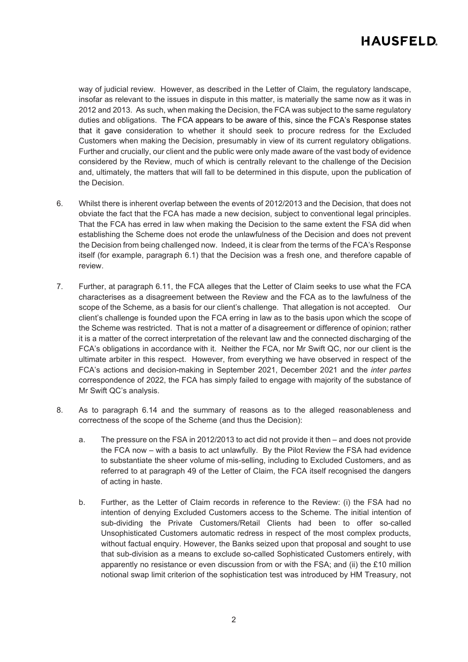## **HAUSFELD**

way of judicial review. However, as described in the Letter of Claim, the regulatory landscape, insofar as relevant to the issues in dispute in this matter, is materially the same now as it was in 2012 and 2013. As such, when making the Decision, the FCA was subject to the same regulatory duties and obligations. The FCA appears to be aware of this, since the FCA's Response states that it gave consideration to whether it should seek to procure redress for the Excluded Customers when making the Decision, presumably in view of its current regulatory obligations. Further and crucially, our client and the public were only made aware of the vast body of evidence considered by the Review, much of which is centrally relevant to the challenge of the Decision and, ultimately, the matters that will fall to be determined in this dispute, upon the publication of the Decision.

- 6. Whilst there is inherent overlap between the events of 2012/2013 and the Decision, that does not obviate the fact that the FCA has made a new decision, subject to conventional legal principles. That the FCA has erred in law when making the Decision to the same extent the FSA did when establishing the Scheme does not erode the unlawfulness of the Decision and does not prevent the Decision from being challenged now. Indeed, it is clear from the terms of the FCA's Response itself (for example, paragraph 6.1) that the Decision was a fresh one, and therefore capable of review.
- 7. Further, at paragraph 6.11, the FCA alleges that the Letter of Claim seeks to use what the FCA characterises as a disagreement between the Review and the FCA as to the lawfulness of the scope of the Scheme, as a basis for our client's challenge. That allegation is not accepted. Our client's challenge is founded upon the FCA erring in law as to the basis upon which the scope of the Scheme was restricted. That is not a matter of a disagreement or difference of opinion; rather it is a matter of the correct interpretation of the relevant law and the connected discharging of the FCA's obligations in accordance with it. Neither the FCA, nor Mr Swift QC, nor our client is the ultimate arbiter in this respect. However, from everything we have observed in respect of the FCA's actions and decision-making in September 2021, December 2021 and the *inter partes* correspondence of 2022, the FCA has simply failed to engage with majority of the substance of Mr Swift QC's analysis.
- 8. As to paragraph 6.14 and the summary of reasons as to the alleged reasonableness and correctness of the scope of the Scheme (and thus the Decision):
	- a. The pressure on the FSA in 2012/2013 to act did not provide it then and does not provide the FCA now – with a basis to act unlawfully. By the Pilot Review the FSA had evidence to substantiate the sheer volume of mis-selling, including to Excluded Customers, and as referred to at paragraph 49 of the Letter of Claim, the FCA itself recognised the dangers of acting in haste.
	- b. Further, as the Letter of Claim records in reference to the Review: (i) the FSA had no intention of denying Excluded Customers access to the Scheme. The initial intention of sub-dividing the Private Customers/Retail Clients had been to offer so-called Unsophisticated Customers automatic redress in respect of the most complex products, without factual enquiry. However, the Banks seized upon that proposal and sought to use that sub-division as a means to exclude so-called Sophisticated Customers entirely, with apparently no resistance or even discussion from or with the FSA; and (ii) the £10 million notional swap limit criterion of the sophistication test was introduced by HM Treasury, not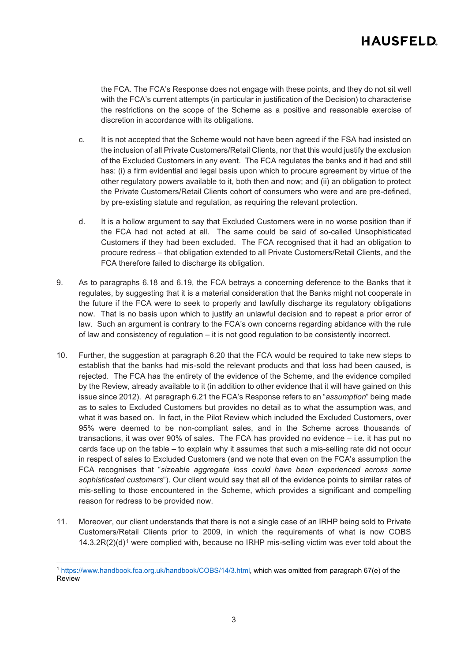# **HAUSFELD**

the FCA. The FCA's Response does not engage with these points, and they do not sit well with the FCA's current attempts (in particular in justification of the Decision) to characterise the restrictions on the scope of the Scheme as a positive and reasonable exercise of discretion in accordance with its obligations.

- c. It is not accepted that the Scheme would not have been agreed if the FSA had insisted on the inclusion of all Private Customers/Retail Clients, nor that this would justify the exclusion of the Excluded Customers in any event. The FCA regulates the banks and it had and still has: (i) a firm evidential and legal basis upon which to procure agreement by virtue of the other regulatory powers available to it, both then and now; and (ii) an obligation to protect the Private Customers/Retail Clients cohort of consumers who were and are pre-defined, by pre-existing statute and regulation, as requiring the relevant protection.
- d. It is a hollow argument to say that Excluded Customers were in no worse position than if the FCA had not acted at all. The same could be said of so-called Unsophisticated Customers if they had been excluded. The FCA recognised that it had an obligation to procure redress – that obligation extended to all Private Customers/Retail Clients, and the FCA therefore failed to discharge its obligation.
- 9. As to paragraphs 6.18 and 6.19, the FCA betrays a concerning deference to the Banks that it regulates, by suggesting that it is a material consideration that the Banks might not cooperate in the future if the FCA were to seek to properly and lawfully discharge its regulatory obligations now. That is no basis upon which to justify an unlawful decision and to repeat a prior error of law. Such an argument is contrary to the FCA's own concerns regarding abidance with the rule of law and consistency of regulation – it is not good regulation to be consistently incorrect.
- 10. Further, the suggestion at paragraph 6.20 that the FCA would be required to take new steps to establish that the banks had mis-sold the relevant products and that loss had been caused, is rejected. The FCA has the entirety of the evidence of the Scheme, and the evidence compiled by the Review, already available to it (in addition to other evidence that it will have gained on this issue since 2012). At paragraph 6.21 the FCA's Response refers to an "*assumption*" being made as to sales to Excluded Customers but provides no detail as to what the assumption was, and what it was based on. In fact, in the Pilot Review which included the Excluded Customers, over 95% were deemed to be non-compliant sales, and in the Scheme across thousands of transactions, it was over 90% of sales. The FCA has provided no evidence – i.e. it has put no cards face up on the table – to explain why it assumes that such a mis-selling rate did not occur in respect of sales to Excluded Customers (and we note that even on the FCA's assumption the FCA recognises that "*sizeable aggregate loss could have been experienced across some sophisticated customers*"). Our client would say that all of the evidence points to similar rates of mis-selling to those encountered in the Scheme, which provides a significant and compelling reason for redress to be provided now.
- 11. Moreover, our client understands that there is not a single case of an IRHP being sold to Private Customers/Retail Clients prior to 2009, in which the requirements of what is now COBS  $14.3.2R(2)(d)<sup>1</sup>$  $14.3.2R(2)(d)<sup>1</sup>$  were complied with, because no IRHP mis-selling victim was ever told about the

<span id="page-2-0"></span><sup>1</sup> [https://www.handbook.fca.org.uk/handbook/COBS/14/3.html,](https://www.handbook.fca.org.uk/handbook/COBS/14/3.html) which was omitted from paragraph 67(e) of the Review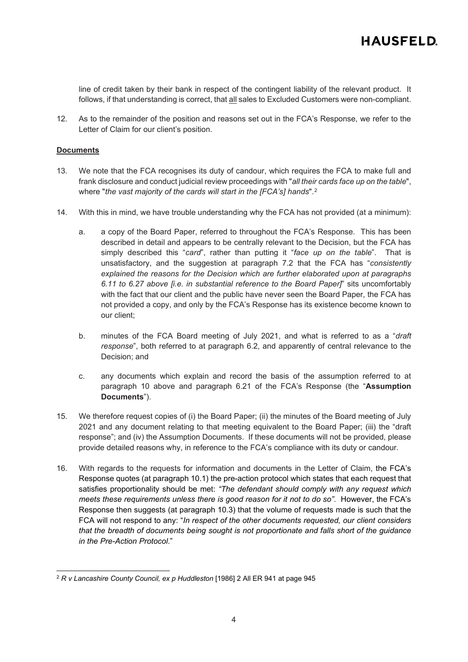line of credit taken by their bank in respect of the contingent liability of the relevant product. It follows, if that understanding is correct, that all sales to Excluded Customers were non-compliant.

12. As to the remainder of the position and reasons set out in the FCA's Response, we refer to the Letter of Claim for our client's position.

#### **Documents**

- 13. We note that the FCA recognises its duty of candour, which requires the FCA to make full and frank disclosure and conduct judicial review proceedings with "*all their cards face up on the table*", where "*the vast majority of the cards will start in the [FCA's] hands*".[2](#page-3-0)
- 14. With this in mind, we have trouble understanding why the FCA has not provided (at a minimum):
	- a. a copy of the Board Paper, referred to throughout the FCA's Response. This has been described in detail and appears to be centrally relevant to the Decision, but the FCA has simply described this "*card*", rather than putting it "*face up on the table*". That is unsatisfactory, and the suggestion at paragraph 7.2 that the FCA has "*consistently explained the reasons for the Decision which are further elaborated upon at paragraphs 6.11 to 6.27 above [i.e. in substantial reference to the Board Paper]*" sits uncomfortably with the fact that our client and the public have never seen the Board Paper, the FCA has not provided a copy, and only by the FCA's Response has its existence become known to our client;
	- b. minutes of the FCA Board meeting of July 2021, and what is referred to as a "*draft response*", both referred to at paragraph 6.2, and apparently of central relevance to the Decision; and
	- c. any documents which explain and record the basis of the assumption referred to at paragraph 10 above and paragraph 6.21 of the FCA's Response (the "**Assumption Documents**").
- 15. We therefore request copies of (i) the Board Paper; (ii) the minutes of the Board meeting of July 2021 and any document relating to that meeting equivalent to the Board Paper; (iii) the "draft response"; and (iv) the Assumption Documents. If these documents will not be provided, please provide detailed reasons why, in reference to the FCA's compliance with its duty or candour.
- 16. With regards to the requests for information and documents in the Letter of Claim, the FCA's Response quotes (at paragraph 10.1) the pre-action protocol which states that each request that satisfies proportionality should be met: *"The defendant should comply with any request which meets these requirements unless there is good reason for it not to do so"*. However, the FCA's Response then suggests (at paragraph 10.3) that the volume of requests made is such that the FCA will not respond to any: "*In respect of the other documents requested, our client considers that the breadth of documents being sought is not proportionate and falls short of the guidance in the Pre-Action Protocol*."

<span id="page-3-0"></span><sup>&</sup>lt;sup>2</sup> R v Lancashire County Council, ex p Huddleston [1986] 2 All ER 941 at page 945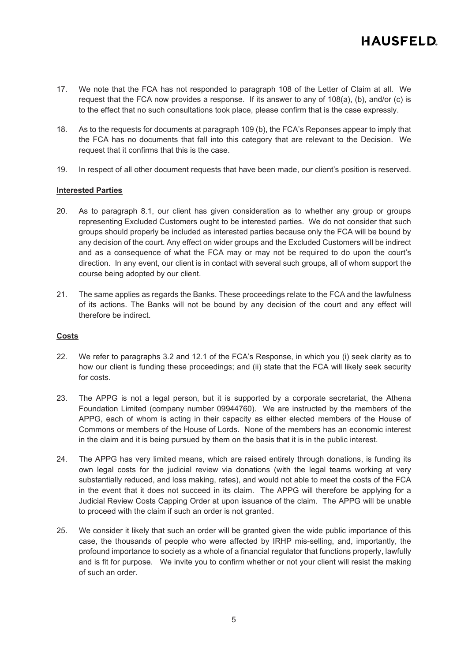- 17. We note that the FCA has not responded to paragraph 108 of the Letter of Claim at all. We request that the FCA now provides a response. If its answer to any of 108(a), (b), and/or (c) is to the effect that no such consultations took place, please confirm that is the case expressly.
- 18. As to the requests for documents at paragraph 109 (b), the FCA's Reponses appear to imply that the FCA has no documents that fall into this category that are relevant to the Decision. We request that it confirms that this is the case.
- 19. In respect of all other document requests that have been made, our client's position is reserved.

#### **Interested Parties**

- 20. As to paragraph 8.1, our client has given consideration as to whether any group or groups representing Excluded Customers ought to be interested parties. We do not consider that such groups should properly be included as interested parties because only the FCA will be bound by any decision of the court. Any effect on wider groups and the Excluded Customers will be indirect and as a consequence of what the FCA may or may not be required to do upon the court's direction. In any event, our client is in contact with several such groups, all of whom support the course being adopted by our client.
- 21. The same applies as regards the Banks. These proceedings relate to the FCA and the lawfulness of its actions. The Banks will not be bound by any decision of the court and any effect will therefore be indirect.

### **Costs**

- 22. We refer to paragraphs 3.2 and 12.1 of the FCA's Response, in which you (i) seek clarity as to how our client is funding these proceedings; and (ii) state that the FCA will likely seek security for costs.
- 23. The APPG is not a legal person, but it is supported by a corporate secretariat, the Athena Foundation Limited (company number 09944760). We are instructed by the members of the APPG, each of whom is acting in their capacity as either elected members of the House of Commons or members of the House of Lords. None of the members has an economic interest in the claim and it is being pursued by them on the basis that it is in the public interest.
- 24. The APPG has very limited means, which are raised entirely through donations, is funding its own legal costs for the judicial review via donations (with the legal teams working at very substantially reduced, and loss making, rates), and would not able to meet the costs of the FCA in the event that it does not succeed in its claim. The APPG will therefore be applying for a Judicial Review Costs Capping Order at upon issuance of the claim. The APPG will be unable to proceed with the claim if such an order is not granted.
- 25. We consider it likely that such an order will be granted given the wide public importance of this case, the thousands of people who were affected by IRHP mis-selling, and, importantly, the profound importance to society as a whole of a financial regulator that functions properly, lawfully and is fit for purpose. We invite you to confirm whether or not your client will resist the making of such an order.